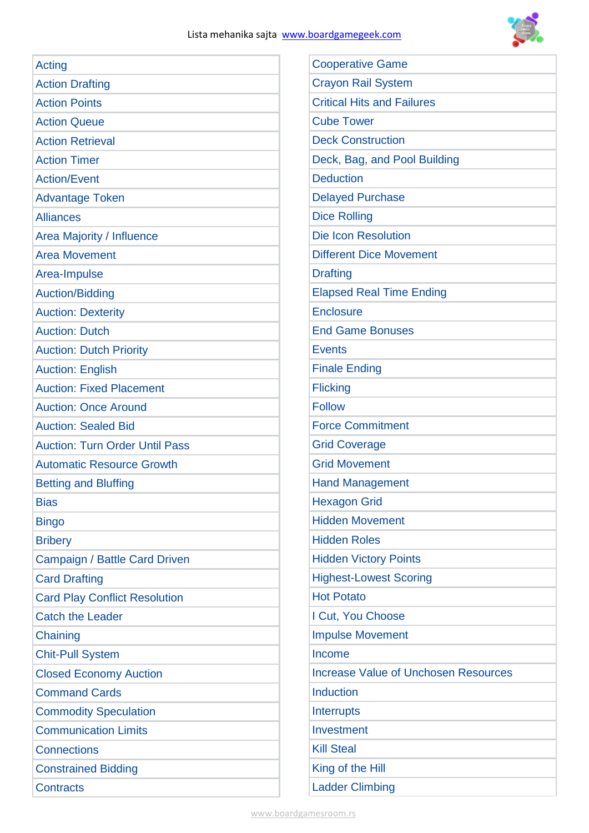

| <b>Acting</b>                         | <b>Cooperative Game</b>                     |  |
|---------------------------------------|---------------------------------------------|--|
| <b>Action Drafting</b>                | <b>Crayon Rail System</b>                   |  |
| <b>Action Points</b>                  | <b>Critical Hits and Failures</b>           |  |
| <b>Action Queue</b>                   | <b>Cube Tower</b>                           |  |
| <b>Action Retrieval</b>               | <b>Deck Construction</b>                    |  |
| <b>Action Timer</b>                   | Deck, Bag, and Pool Building                |  |
| <b>Action/Event</b>                   | <b>Deduction</b>                            |  |
| <b>Advantage Token</b>                | <b>Delayed Purchase</b>                     |  |
| <b>Alliances</b>                      | <b>Dice Rolling</b>                         |  |
| Area Majority / Influence             | <b>Die Icon Resolution</b>                  |  |
| <b>Area Movement</b>                  | <b>Different Dice Movement</b>              |  |
| Area-Impulse                          | <b>Drafting</b>                             |  |
| <b>Auction/Bidding</b>                | <b>Elapsed Real Time Ending</b>             |  |
| <b>Auction: Dexterity</b>             | <b>Enclosure</b>                            |  |
| <b>Auction: Dutch</b>                 | <b>End Game Bonuses</b>                     |  |
| <b>Auction: Dutch Priority</b>        | <b>Events</b>                               |  |
| <b>Auction: English</b>               | <b>Finale Ending</b>                        |  |
| <b>Auction: Fixed Placement</b>       | <b>Flicking</b>                             |  |
| <b>Auction: Once Around</b>           | <b>Follow</b>                               |  |
| <b>Auction: Sealed Bid</b>            | <b>Force Commitment</b>                     |  |
| <b>Auction: Turn Order Until Pass</b> | <b>Grid Coverage</b>                        |  |
| <b>Automatic Resource Growth</b>      | <b>Grid Movement</b>                        |  |
| <b>Betting and Bluffing</b>           | <b>Hand Management</b>                      |  |
| <b>Bias</b>                           | <b>Hexagon Grid</b>                         |  |
| <b>Bingo</b>                          | <b>Hidden Movement</b>                      |  |
| <b>Bribery</b>                        | <b>Hidden Roles</b>                         |  |
| Campaign / Battle Card Driven         | <b>Hidden Victory Points</b>                |  |
| <b>Card Drafting</b>                  | <b>Highest-Lowest Scoring</b>               |  |
| <b>Card Play Conflict Resolution</b>  | <b>Hot Potato</b>                           |  |
| <b>Catch the Leader</b>               | I Cut, You Choose                           |  |
| Chaining                              | <b>Impulse Movement</b>                     |  |
| <b>Chit-Pull System</b>               | Income                                      |  |
| <b>Closed Economy Auction</b>         | <b>Increase Value of Unchosen Resources</b> |  |
| <b>Command Cards</b>                  | <b>Induction</b>                            |  |
| <b>Commodity Speculation</b>          | <b>Interrupts</b>                           |  |
| <b>Communication Limits</b>           | Investment                                  |  |
| <b>Connections</b>                    | <b>Kill Steal</b>                           |  |
| <b>Constrained Bidding</b>            | King of the Hill                            |  |
| <b>Contracts</b>                      | <b>Ladder Climbing</b>                      |  |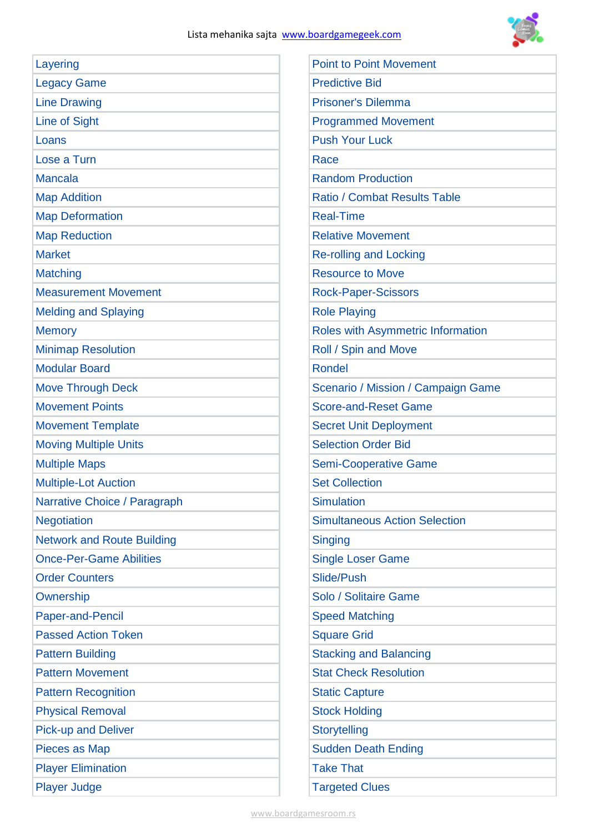

| Layering                          | <b>Point to Point Movement</b>       |
|-----------------------------------|--------------------------------------|
| <b>Legacy Game</b>                | <b>Predictive Bid</b>                |
| <b>Line Drawing</b>               | <b>Prisoner's Dilemma</b>            |
| Line of Sight                     | <b>Programmed Movement</b>           |
| Loans                             | <b>Push Your Luck</b>                |
| Lose a Turn                       | Race                                 |
| <b>Mancala</b>                    | <b>Random Production</b>             |
| <b>Map Addition</b>               | <b>Ratio / Combat Results Table</b>  |
| <b>Map Deformation</b>            | <b>Real-Time</b>                     |
| <b>Map Reduction</b>              | <b>Relative Movement</b>             |
| <b>Market</b>                     | <b>Re-rolling and Locking</b>        |
| Matching                          | <b>Resource to Move</b>              |
| <b>Measurement Movement</b>       | <b>Rock-Paper-Scissors</b>           |
| <b>Melding and Splaying</b>       | <b>Role Playing</b>                  |
| <b>Memory</b>                     | Roles with Asymmetric Information    |
| <b>Minimap Resolution</b>         | Roll / Spin and Move                 |
| <b>Modular Board</b>              | <b>Rondel</b>                        |
| <b>Move Through Deck</b>          | Scenario / Mission / Campaign Game   |
| <b>Movement Points</b>            | <b>Score-and-Reset Game</b>          |
| <b>Movement Template</b>          | <b>Secret Unit Deployment</b>        |
| <b>Moving Multiple Units</b>      | <b>Selection Order Bid</b>           |
| <b>Multiple Maps</b>              | <b>Semi-Cooperative Game</b>         |
| <b>Multiple-Lot Auction</b>       | <b>Set Collection</b>                |
| Narrative Choice / Paragraph      | <b>Simulation</b>                    |
| <b>Negotiation</b>                | <b>Simultaneous Action Selection</b> |
| <b>Network and Route Building</b> | <b>Singing</b>                       |
| <b>Once-Per-Game Abilities</b>    | <b>Single Loser Game</b>             |
| <b>Order Counters</b>             | Slide/Push                           |
| Ownership                         | Solo / Solitaire Game                |
| Paper-and-Pencil                  | <b>Speed Matching</b>                |
| <b>Passed Action Token</b>        | <b>Square Grid</b>                   |
| <b>Pattern Building</b>           | <b>Stacking and Balancing</b>        |
| <b>Pattern Movement</b>           | <b>Stat Check Resolution</b>         |
| <b>Pattern Recognition</b>        | <b>Static Capture</b>                |
| <b>Physical Removal</b>           | <b>Stock Holding</b>                 |
| <b>Pick-up and Deliver</b>        | Storytelling                         |
| Pieces as Map                     | <b>Sudden Death Ending</b>           |
| <b>Player Elimination</b>         | <b>Take That</b>                     |
| <b>Player Judge</b>               | <b>Targeted Clues</b>                |